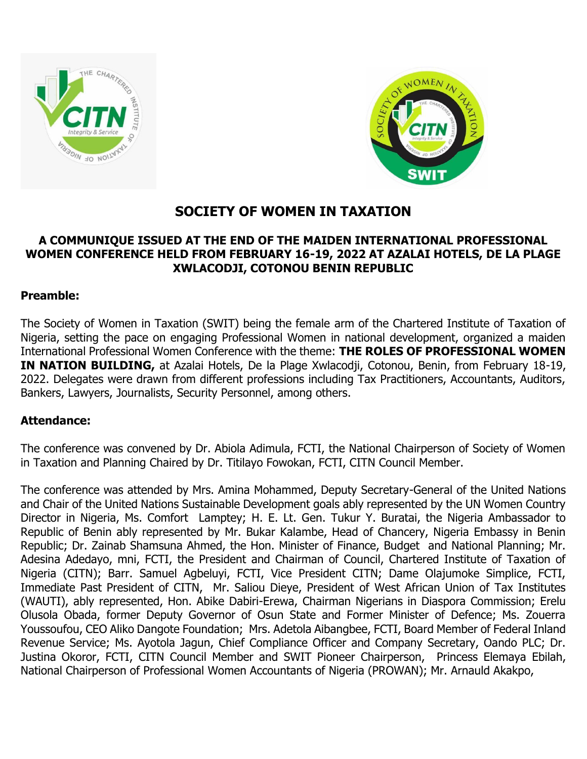



# **SOCIETY OF WOMEN IN TAXATION**

### **A COMMUNIQUE ISSUED AT THE END OF THE MAIDEN INTERNATIONAL PROFESSIONAL WOMEN CONFERENCE HELD FROM FEBRUARY 16-19, 2022 AT AZALAI HOTELS, DE LA PLAGE XWLACODJI, COTONOU BENIN REPUBLIC**

#### **Preamble:**

The Society of Women in Taxation (SWIT) being the female arm of the Chartered Institute of Taxation of Nigeria, setting the pace on engaging Professional Women in national development, organized a maiden International Professional Women Conference with the theme: **THE ROLES OF PROFESSIONAL WOMEN IN NATION BUILDING,** at Azalai Hotels, De la Plage Xwlacodji, Cotonou, Benin, from February 18-19, 2022. Delegates were drawn from different professions including Tax Practitioners, Accountants, Auditors, Bankers, Lawyers, Journalists, Security Personnel, among others.

## **Attendance:**

The conference was convened by Dr. Abiola Adimula, FCTI, the National Chairperson of Society of Women in Taxation and Planning Chaired by Dr. Titilayo Fowokan, FCTI, CITN Council Member.

The conference was attended by Mrs. Amina Mohammed, Deputy Secretary-General of the United Nations and Chair of the United Nations Sustainable Development goals ably represented by the UN Women Country Director in Nigeria, Ms. Comfort Lamptey; H. E. Lt. Gen. Tukur Y. Buratai, the Nigeria Ambassador to Republic of Benin ably represented by Mr. Bukar Kalambe, Head of Chancery, Nigeria Embassy in Benin Republic; Dr. Zainab Shamsuna Ahmed, the Hon. Minister of Finance, Budget and National Planning; Mr. Adesina Adedayo, mni, FCTI, the President and Chairman of Council, Chartered Institute of Taxation of Nigeria (CITN); Barr. Samuel Agbeluyi, FCTI, Vice President CITN; Dame Olajumoke Simplice, FCTI, Immediate Past President of CITN, Mr. Saliou Dieye, President of West African Union of Tax Institutes (WAUTI), ably represented, Hon. Abike Dabiri-Erewa, Chairman Nigerians in Diaspora Commission; Erelu Olusola Obada, former Deputy Governor of Osun State and Former Minister of Defence; Ms. Zouerra Youssoufou, CEO Aliko Dangote Foundation; Mrs. Adetola Aibangbee, FCTI, Board Member of Federal Inland Revenue Service; Ms. Ayotola Jagun, Chief Compliance Officer and Company Secretary, Oando PLC; Dr. Justina Okoror, FCTI, CITN Council Member and SWIT Pioneer Chairperson, Princess Elemaya Ebilah, National Chairperson of Professional Women Accountants of Nigeria (PROWAN); Mr. Arnauld Akakpo,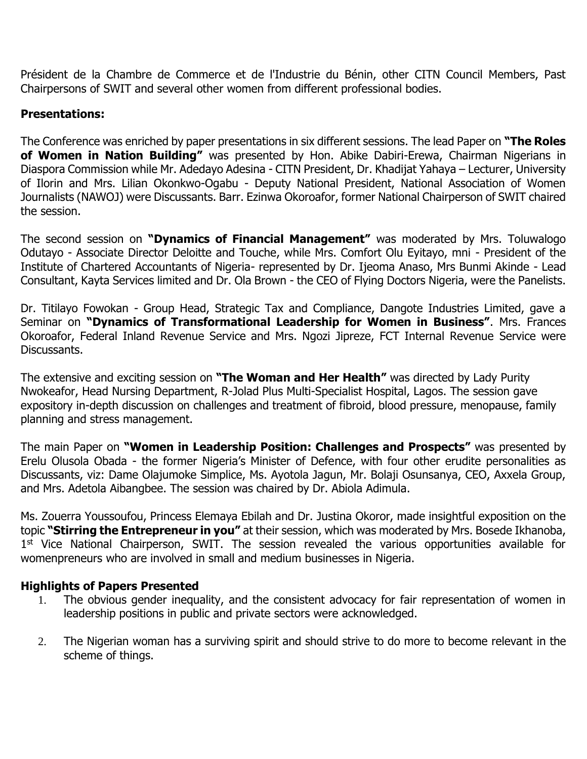Président de la Chambre de Commerce et de l'Industrie du Bénin, other CITN Council Members, Past Chairpersons of SWIT and several other women from different professional bodies.

### **Presentations:**

The Conference was enriched by paper presentations in six different sessions. The lead Paper on **"The Roles of Women in Nation Building"** was presented by Hon. Abike Dabiri-Erewa, Chairman Nigerians in Diaspora Commission while Mr. Adedayo Adesina - CITN President, Dr. Khadijat Yahaya – Lecturer, University of Ilorin and Mrs. Lilian Okonkwo-Ogabu - Deputy National President, National Association of Women Journalists (NAWOJ) were Discussants. Barr. Ezinwa Okoroafor, former National Chairperson of SWIT chaired the session.

The second session on **"Dynamics of Financial Management"** was moderated by Mrs. Toluwalogo Odutayo - Associate Director Deloitte and Touche, while Mrs. Comfort Olu Eyitayo, mni - President of the Institute of Chartered Accountants of Nigeria- represented by Dr. Ijeoma Anaso, Mrs Bunmi Akinde - Lead Consultant, Kayta Services limited and Dr. Ola Brown - the CEO of Flying Doctors Nigeria, were the Panelists.

Dr. Titilayo Fowokan - Group Head, Strategic Tax and Compliance, Dangote Industries Limited, gave a Seminar on **"Dynamics of Transformational Leadership for Women in Business"**. Mrs. Frances Okoroafor, Federal Inland Revenue Service and Mrs. Ngozi Jipreze, FCT Internal Revenue Service were Discussants.

The extensive and exciting session on **"The Woman and Her Health"** was directed by Lady Purity Nwokeafor, Head Nursing Department, R-Jolad Plus Multi-Specialist Hospital, Lagos. The session gave expository in-depth discussion on challenges and treatment of fibroid, blood pressure, menopause, family planning and stress management.

The main Paper on **"Women in Leadership Position: Challenges and Prospects"** was presented by Erelu Olusola Obada - the former Nigeria's Minister of Defence, with four other erudite personalities as Discussants, viz: Dame Olajumoke Simplice, Ms. Ayotola Jagun, Mr. Bolaji Osunsanya, CEO, Axxela Group, and Mrs. Adetola Aibangbee. The session was chaired by Dr. Abiola Adimula.

Ms. Zouerra Youssoufou, Princess Elemaya Ebilah and Dr. Justina Okoror, made insightful exposition on the topic **"Stirring the Entrepreneur in you"** at their session, which was moderated by Mrs. Bosede Ikhanoba, 1<sup>st</sup> Vice National Chairperson, SWIT. The session revealed the various opportunities available for womenpreneurs who are involved in small and medium businesses in Nigeria.

#### **Highlights of Papers Presented**

- 1. The obvious gender inequality, and the consistent advocacy for fair representation of women in leadership positions in public and private sectors were acknowledged.
- 2. The Nigerian woman has a surviving spirit and should strive to do more to become relevant in the scheme of things.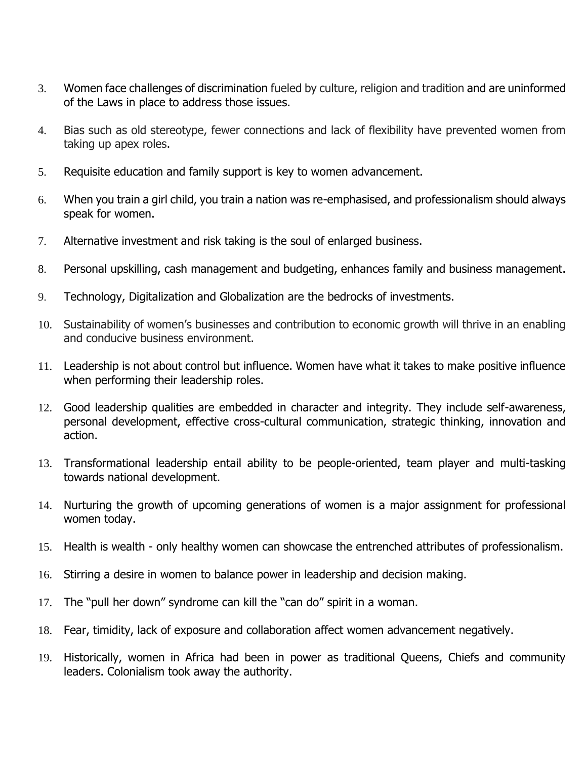- 3. Women face challenges of discrimination fueled by culture, religion and tradition and are uninformed of the Laws in place to address those issues.
- 4. Bias such as old stereotype, fewer connections and lack of flexibility have prevented women from taking up apex roles.
- 5. Requisite education and family support is key to women advancement.
- 6. When you train a girl child, you train a nation was re-emphasised, and professionalism should always speak for women.
- 7. Alternative investment and risk taking is the soul of enlarged business.
- 8. Personal upskilling, cash management and budgeting, enhances family and business management.
- 9. Technology, Digitalization and Globalization are the bedrocks of investments.
- 10. Sustainability of women's businesses and contribution to economic growth will thrive in an enabling and conducive business environment.
- 11. Leadership is not about control but influence. Women have what it takes to make positive influence when performing their leadership roles.
- 12. Good leadership qualities are embedded in character and integrity. They include self-awareness, personal development, effective cross-cultural communication, strategic thinking, innovation and action.
- 13. Transformational leadership entail ability to be people-oriented, team player and multi-tasking towards national development.
- 14. Nurturing the growth of upcoming generations of women is a major assignment for professional women today.
- 15. Health is wealth only healthy women can showcase the entrenched attributes of professionalism.
- 16. Stirring a desire in women to balance power in leadership and decision making.
- 17. The "pull her down" syndrome can kill the "can do" spirit in a woman.
- 18. Fear, timidity, lack of exposure and collaboration affect women advancement negatively.
- 19. Historically, women in Africa had been in power as traditional Queens, Chiefs and community leaders. Colonialism took away the authority.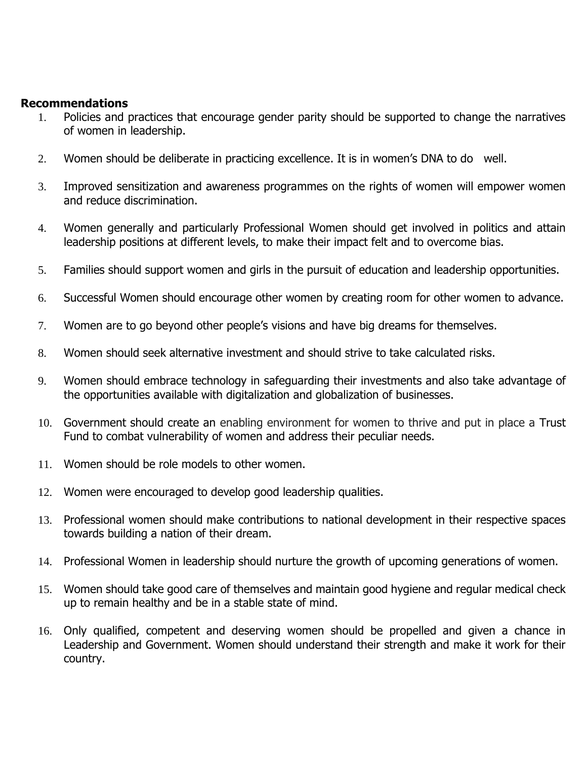#### **Recommendations**

- 1. Policies and practices that encourage gender parity should be supported to change the narratives of women in leadership.
- 2. Women should be deliberate in practicing excellence. It is in women's DNA to do well.
- 3. Improved sensitization and awareness programmes on the rights of women will empower women and reduce discrimination.
- 4. Women generally and particularly Professional Women should get involved in politics and attain leadership positions at different levels, to make their impact felt and to overcome bias.
- 5. Families should support women and girls in the pursuit of education and leadership opportunities.
- 6. Successful Women should encourage other women by creating room for other women to advance.
- 7. Women are to go beyond other people's visions and have big dreams for themselves.
- 8. Women should seek alternative investment and should strive to take calculated risks.
- 9. Women should embrace technology in safeguarding their investments and also take advantage of the opportunities available with digitalization and globalization of businesses.
- 10. Government should create an enabling environment for women to thrive and put in place a Trust Fund to combat vulnerability of women and address their peculiar needs.
- 11. Women should be role models to other women.
- 12. Women were encouraged to develop good leadership qualities.
- 13. Professional women should make contributions to national development in their respective spaces towards building a nation of their dream.
- 14. Professional Women in leadership should nurture the growth of upcoming generations of women.
- 15. Women should take good care of themselves and maintain good hygiene and regular medical check up to remain healthy and be in a stable state of mind.
- 16. Only qualified, competent and deserving women should be propelled and given a chance in Leadership and Government. Women should understand their strength and make it work for their country.